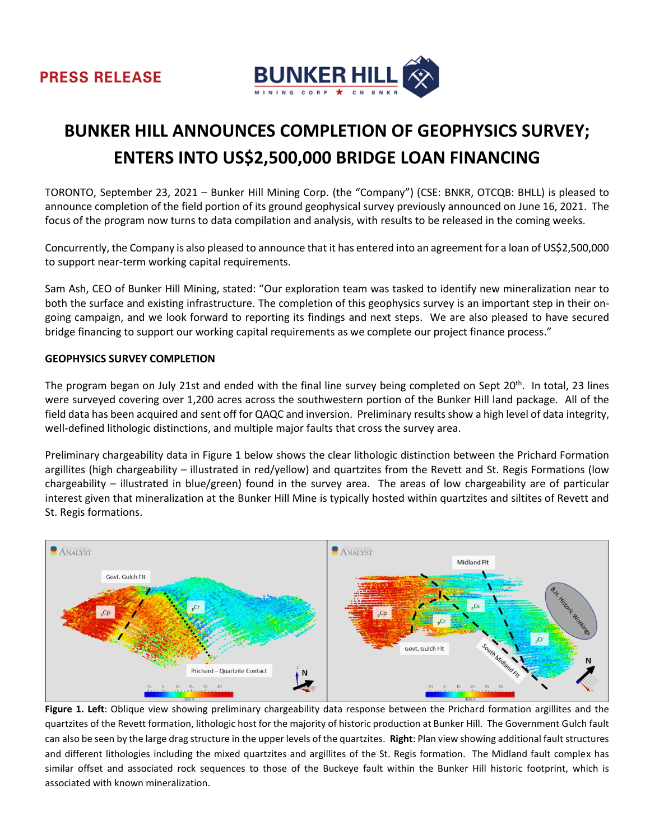



# **BUNKER HILL ANNOUNCES COMPLETION OF GEOPHYSICS SURVEY; ENTERS INTO US\$2,500,000 BRIDGE LOAN FINANCING**

TORONTO, September 23, 2021 – Bunker Hill Mining Corp. (the "Company") (CSE: BNKR, OTCQB: BHLL) is pleased to announce completion of the field portion of its ground geophysical survey previously announced on June 16, 2021. The focus of the program now turns to data compilation and analysis, with results to be released in the coming weeks.

Concurrently, the Company is also pleased to announce that it has entered into an agreement for a loan of US\$2,500,000 to support near-term working capital requirements.

Sam Ash, CEO of Bunker Hill Mining, stated: "Our exploration team was tasked to identify new mineralization near to both the surface and existing infrastructure. The completion of this geophysics survey is an important step in their ongoing campaign, and we look forward to reporting its findings and next steps. We are also pleased to have secured bridge financing to support our working capital requirements as we complete our project finance process."

#### **GEOPHYSICS SURVEY COMPLETION**

The program began on July 21st and ended with the final line survey being completed on Sept 20<sup>th</sup>. In total, 23 lines were surveyed covering over 1,200 acres across the southwestern portion of the Bunker Hill land package. All of the field data has been acquired and sent off for QAQC and inversion. Preliminary results show a high level of data integrity, well-defined lithologic distinctions, and multiple major faults that cross the survey area.

Preliminary chargeability data in Figure 1 below shows the clear lithologic distinction between the Prichard Formation argillites (high chargeability – illustrated in red/yellow) and quartzites from the Revett and St. Regis Formations (low chargeability – illustrated in blue/green) found in the survey area. The areas of low chargeability are of particular interest given that mineralization at the Bunker Hill Mine is typically hosted within quartzites and siltites of Revett and St. Regis formations.



**Figure 1. Left**: Oblique view showing preliminary chargeability data response between the Prichard formation argillites and the quartzites of the Revett formation, lithologic host for the majority of historic production at Bunker Hill. The Government Gulch fault can also be seen by the large drag structure in the upper levels of the quartzites. **Right**: Plan view showing additional fault structures and different lithologies including the mixed quartzites and argillites of the St. Regis formation. The Midland fault complex has similar offset and associated rock sequences to those of the Buckeye fault within the Bunker Hill historic footprint, which is associated with known mineralization.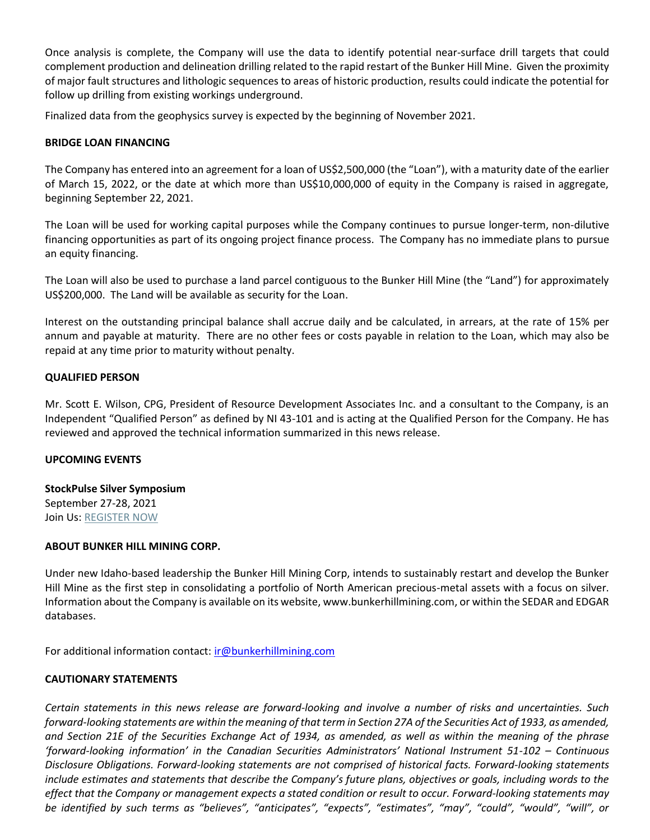Once analysis is complete, the Company will use the data to identify potential near-surface drill targets that could complement production and delineation drilling related to the rapid restart of the Bunker Hill Mine. Given the proximity of major fault structures and lithologic sequences to areas of historic production, results could indicate the potential for follow up drilling from existing workings underground.

Finalized data from the geophysics survey is expected by the beginning of November 2021.

## **BRIDGE LOAN FINANCING**

The Company has entered into an agreement for a loan of US\$2,500,000 (the "Loan"), with a maturity date of the earlier of March 15, 2022, or the date at which more than US\$10,000,000 of equity in the Company is raised in aggregate, beginning September 22, 2021.

The Loan will be used for working capital purposes while the Company continues to pursue longer-term, non-dilutive financing opportunities as part of its ongoing project finance process. The Company has no immediate plans to pursue an equity financing.

The Loan will also be used to purchase a land parcel contiguous to the Bunker Hill Mine (the "Land") for approximately US\$200,000. The Land will be available as security for the Loan.

Interest on the outstanding principal balance shall accrue daily and be calculated, in arrears, at the rate of 15% per annum and payable at maturity. There are no other fees or costs payable in relation to the Loan, which may also be repaid at any time prior to maturity without penalty.

## **QUALIFIED PERSON**

Mr. Scott E. Wilson, CPG, President of Resource Development Associates Inc. and a consultant to the Company, is an Independent "Qualified Person" as defined by NI 43-101 and is acting at the Qualified Person for the Company. He has reviewed and approved the technical information summarized in this news release.

### **UPCOMING EVENTS**

**StockPulse Silver Symposium** September 27-28, 2021 Join Us: [REGISTER NOW](https://www.cdasilvershow.com/)

### **ABOUT BUNKER HILL MINING CORP.**

Under new Idaho-based leadership the Bunker Hill Mining Corp, intends to sustainably restart and develop the Bunker Hill Mine as the first step in consolidating a portfolio of North American precious-metal assets with a focus on silver. Information about the Company is available on its website, www.bunkerhillmining.com, or within the SEDAR and EDGAR databases.

For additional information contact: [ir@bunkerhillmining.com](mailto:ir@bunkerhillmining.com)

## **CAUTIONARY STATEMENTS**

*Certain statements in this news release are forward-looking and involve a number of risks and uncertainties. Such forward-looking statements are within the meaning of that term in Section 27A of the Securities Act of 1933, as amended, and Section 21E of the Securities Exchange Act of 1934, as amended, as well as within the meaning of the phrase 'forward-looking information' in the Canadian Securities Administrators' National Instrument 51-102 – Continuous Disclosure Obligations. Forward-looking statements are not comprised of historical facts. Forward-looking statements include estimates and statements that describe the Company's future plans, objectives or goals, including words to the effect that the Company or management expects a stated condition or result to occur. Forward-looking statements may be identified by such terms as "believes", "anticipates", "expects", "estimates", "may", "could", "would", "will", or*